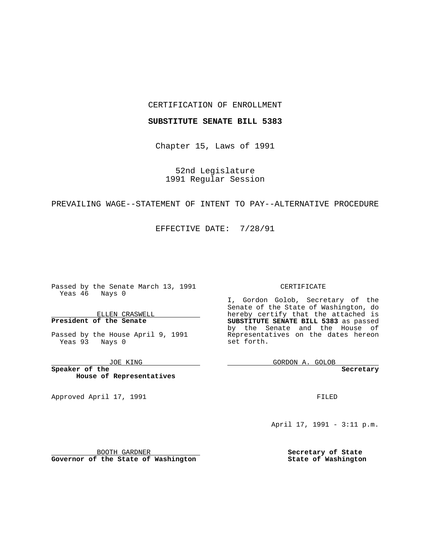### CERTIFICATION OF ENROLLMENT

### **SUBSTITUTE SENATE BILL 5383**

Chapter 15, Laws of 1991

52nd Legislature 1991 Regular Session

## PREVAILING WAGE--STATEMENT OF INTENT TO PAY--ALTERNATIVE PROCEDURE

EFFECTIVE DATE: 7/28/91

Passed by the Senate March 13, 1991 Yeas 46 Nays 0

ELLEN CRASWELL **President of the Senate**

Passed by the House April 9, 1991 Yeas 93 Nays 0

JOE KING

**Speaker of the House of Representatives**

Approved April 17, 1991

### CERTIFICATE

I, Gordon Golob, Secretary of the Senate of the State of Washington, do hereby certify that the attached is **SUBSTITUTE SENATE BILL 5383** as passed by the Senate and the House of Representatives on the dates hereon set forth.

GORDON A. GOLOB

**Secretary**

FILED

April 17, 1991 - 3:11 p.m.

**Secretary of State State of Washington**

BOOTH GARDNER **Governor of the State of Washington**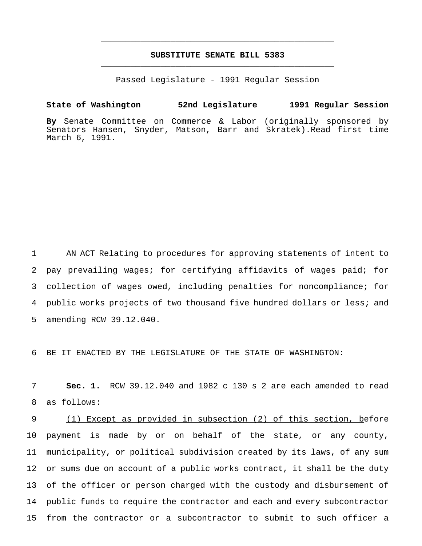# **SUBSTITUTE SENATE BILL 5383** \_\_\_\_\_\_\_\_\_\_\_\_\_\_\_\_\_\_\_\_\_\_\_\_\_\_\_\_\_\_\_\_\_\_\_\_\_\_\_\_\_\_\_\_\_\_\_

\_\_\_\_\_\_\_\_\_\_\_\_\_\_\_\_\_\_\_\_\_\_\_\_\_\_\_\_\_\_\_\_\_\_\_\_\_\_\_\_\_\_\_\_\_\_\_

Passed Legislature - 1991 Regular Session

**State of Washington 52nd Legislature 1991 Regular Session**

**By** Senate Committee on Commerce & Labor (originally sponsored by Senators Hansen, Snyder, Matson, Barr and Skratek).Read first time March 6, 1991.

 AN ACT Relating to procedures for approving statements of intent to pay prevailing wages; for certifying affidavits of wages paid; for collection of wages owed, including penalties for noncompliance; for public works projects of two thousand five hundred dollars or less; and amending RCW 39.12.040.

BE IT ENACTED BY THE LEGISLATURE OF THE STATE OF WASHINGTON:

 **Sec. 1.** RCW 39.12.040 and 1982 c 130 s 2 are each amended to read as follows:

 (1) Except as provided in subsection (2) of this section, before payment is made by or on behalf of the state, or any county, municipality, or political subdivision created by its laws, of any sum or sums due on account of a public works contract, it shall be the duty of the officer or person charged with the custody and disbursement of public funds to require the contractor and each and every subcontractor from the contractor or a subcontractor to submit to such officer a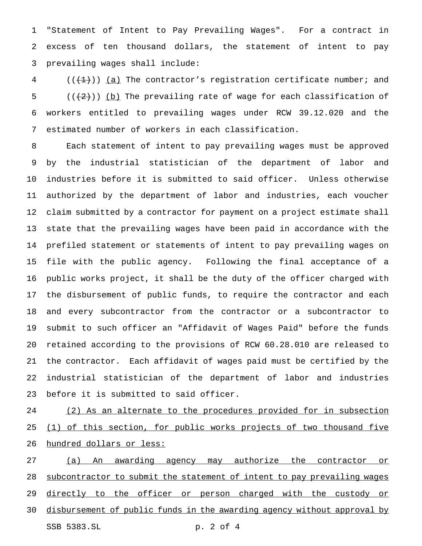"Statement of Intent to Pay Prevailing Wages". For a contract in excess of ten thousand dollars, the statement of intent to pay prevailing wages shall include:

 $($  ( $($   $($   $($   $+$   $)$ )  $($   $a)$  The contractor's registration certificate number; and  $((+2+))$  (b) The prevailing rate of wage for each classification of workers entitled to prevailing wages under RCW 39.12.020 and the estimated number of workers in each classification.

 Each statement of intent to pay prevailing wages must be approved by the industrial statistician of the department of labor and industries before it is submitted to said officer. Unless otherwise authorized by the department of labor and industries, each voucher claim submitted by a contractor for payment on a project estimate shall state that the prevailing wages have been paid in accordance with the prefiled statement or statements of intent to pay prevailing wages on file with the public agency. Following the final acceptance of a public works project, it shall be the duty of the officer charged with the disbursement of public funds, to require the contractor and each and every subcontractor from the contractor or a subcontractor to submit to such officer an "Affidavit of Wages Paid" before the funds retained according to the provisions of RCW 60.28.010 are released to the contractor. Each affidavit of wages paid must be certified by the industrial statistician of the department of labor and industries before it is submitted to said officer.

24 (2) As an alternate to the procedures provided for in subsection 25 (1) of this section, for public works projects of two thousand five hundred dollars or less:

 (a) An awarding agency may authorize the contractor or 28 subcontractor to submit the statement of intent to pay prevailing wages 29 directly to the officer or person charged with the custody or disbursement of public funds in the awarding agency without approval by SSB 5383.SL p. 2 of 4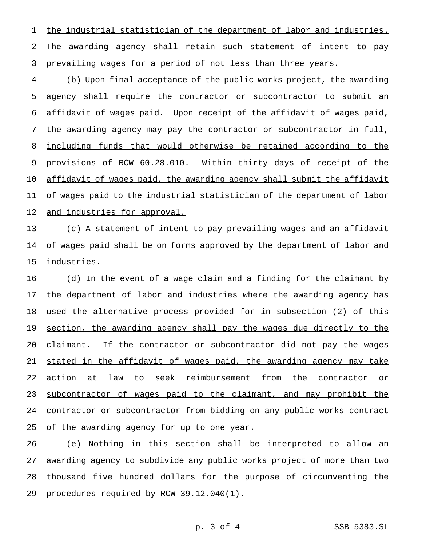1 the industrial statistician of the department of labor and industries. The awarding agency shall retain such statement of intent to pay prevailing wages for a period of not less than three years.

 (b) Upon final acceptance of the public works project, the awarding agency shall require the contractor or subcontractor to submit an affidavit of wages paid. Upon receipt of the affidavit of wages paid, the awarding agency may pay the contractor or subcontractor in full, including funds that would otherwise be retained according to the provisions of RCW 60.28.010. Within thirty days of receipt of the affidavit of wages paid, the awarding agency shall submit the affidavit of wages paid to the industrial statistician of the department of labor 12 and industries for approval.

 (c) A statement of intent to pay prevailing wages and an affidavit 14 of wages paid shall be on forms approved by the department of labor and industries.

 (d) In the event of a wage claim and a finding for the claimant by 17 the department of labor and industries where the awarding agency has used the alternative process provided for in subsection (2) of this section, the awarding agency shall pay the wages due directly to the 20 claimant. If the contractor or subcontractor did not pay the wages stated in the affidavit of wages paid, the awarding agency may take 22 action at law to seek reimbursement from the contractor or subcontractor of wages paid to the claimant, and may prohibit the contractor or subcontractor from bidding on any public works contract 25 of the awarding agency for up to one year.

 (e) Nothing in this section shall be interpreted to allow an awarding agency to subdivide any public works project of more than two 28 thousand five hundred dollars for the purpose of circumventing the procedures required by RCW 39.12.040(1).